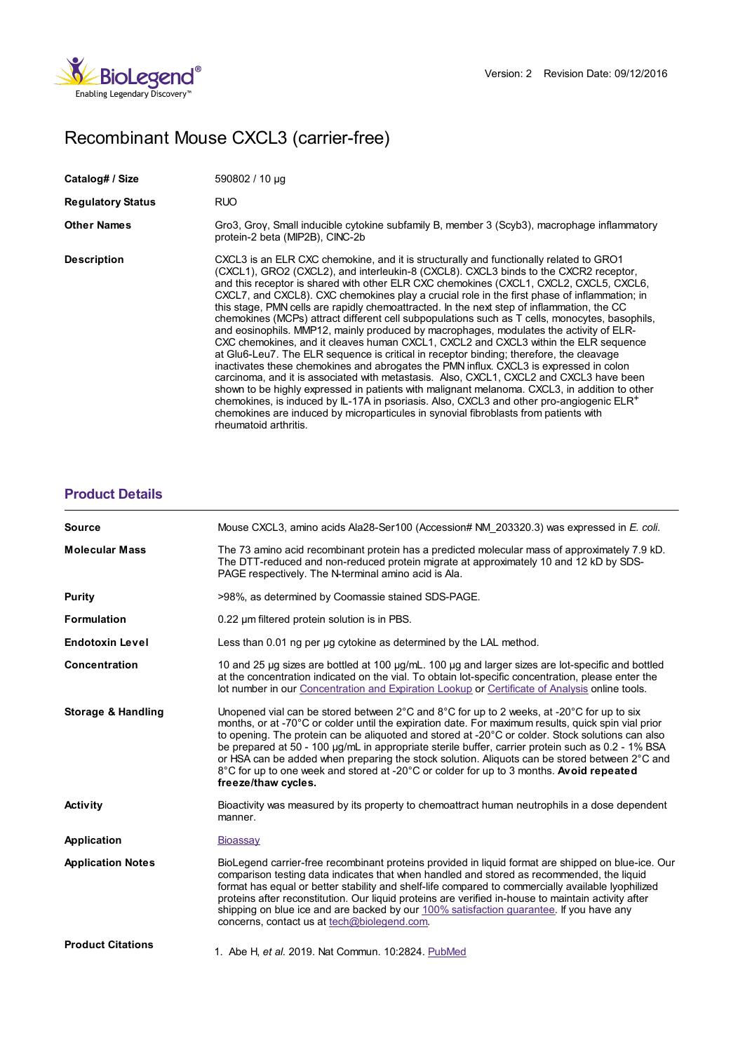

## Recombinant Mouse CXCL3 (carrier-free)

| Catalog# / Size          | 590802 / 10 µg                                                                                                                                                                                                                                                                                                                                                                                                                                                                                                                                                                                                                                                                                                                                                                                                                                                                                                                                                                                                                                                                                                                                                                                                                                                                                                                                              |
|--------------------------|-------------------------------------------------------------------------------------------------------------------------------------------------------------------------------------------------------------------------------------------------------------------------------------------------------------------------------------------------------------------------------------------------------------------------------------------------------------------------------------------------------------------------------------------------------------------------------------------------------------------------------------------------------------------------------------------------------------------------------------------------------------------------------------------------------------------------------------------------------------------------------------------------------------------------------------------------------------------------------------------------------------------------------------------------------------------------------------------------------------------------------------------------------------------------------------------------------------------------------------------------------------------------------------------------------------------------------------------------------------|
| <b>Regulatory Status</b> | RUO                                                                                                                                                                                                                                                                                                                                                                                                                                                                                                                                                                                                                                                                                                                                                                                                                                                                                                                                                                                                                                                                                                                                                                                                                                                                                                                                                         |
| <b>Other Names</b>       | Gro3, Groy, Small inducible cytokine subfamily B, member 3 (Scyb3), macrophage inflammatory<br>protein-2 beta (MIP2B), CINC-2b                                                                                                                                                                                                                                                                                                                                                                                                                                                                                                                                                                                                                                                                                                                                                                                                                                                                                                                                                                                                                                                                                                                                                                                                                              |
| <b>Description</b>       | CXCL3 is an ELR CXC chemokine, and it is structurally and functionally related to GRO1<br>(CXCL1), GRO2 (CXCL2), and interleukin-8 (CXCL8). CXCL3 binds to the CXCR2 receptor,<br>and this receptor is shared with other ELR CXC chemokines (CXCL1, CXCL2, CXCL5, CXCL6,<br>CXCL7, and CXCL8). CXC chemokines play a crucial role in the first phase of inflammation; in<br>this stage. PMN cells are rapidly chemoattracted. In the next step of inflammation, the CC<br>chemokines (MCPs) attract different cell subpopulations such as T cells, monocytes, basophils,<br>and eosinophils. MMP12, mainly produced by macrophages, modulates the activity of ELR-<br>CXC chemokines, and it cleaves human CXCL1, CXCL2 and CXCL3 within the ELR sequence<br>at Glu6-Leu7. The ELR sequence is critical in receptor binding; therefore, the cleavage<br>inactivates these chemokines and abrogates the PMN influx. CXCL3 is expressed in colon<br>carcinoma, and it is associated with metastasis. Also, CXCL1, CXCL2 and CXCL3 have been<br>shown to be highly expressed in patients with malignant melanoma. CXCL3, in addition to other<br>chemokines, is induced by $IL-17A$ in psoriasis. Also, CXCL3 and other pro-angiogenic $ELR+$<br>chemokines are induced by microparticules in synovial fibroblasts from patients with<br>rheumatoid arthritis. |

## **[Product](https://production-dynamicweb.biolegend.com/it-it/products/recombinant-mouse-cxcl3-carrier-free-8902?pdf=true&displayInline=true&leftRightMargin=15&topBottomMargin=15&filename=Recombinant Mouse CXCL3 (carrier-free).pdf#productDetails) Details**

| <b>Source</b>                 | Mouse CXCL3, amino acids Ala28-Ser100 (Accession# NM 203320.3) was expressed in E. coli.                                                                                                                                                                                                                                                                                                                                                                                                                                                                                                                                                                    |
|-------------------------------|-------------------------------------------------------------------------------------------------------------------------------------------------------------------------------------------------------------------------------------------------------------------------------------------------------------------------------------------------------------------------------------------------------------------------------------------------------------------------------------------------------------------------------------------------------------------------------------------------------------------------------------------------------------|
| <b>Molecular Mass</b>         | The 73 amino acid recombinant protein has a predicted molecular mass of approximately 7.9 kD.<br>The DTT-reduced and non-reduced protein migrate at approximately 10 and 12 kD by SDS-<br>PAGE respectively. The N-terminal amino acid is Ala.                                                                                                                                                                                                                                                                                                                                                                                                              |
| Purity                        | >98%, as determined by Coomassie stained SDS-PAGE.                                                                                                                                                                                                                                                                                                                                                                                                                                                                                                                                                                                                          |
| <b>Formulation</b>            | 0.22 um filtered protein solution is in PBS.                                                                                                                                                                                                                                                                                                                                                                                                                                                                                                                                                                                                                |
| <b>Endotoxin Level</b>        | Less than 0.01 ng per ug cytokine as determined by the LAL method.                                                                                                                                                                                                                                                                                                                                                                                                                                                                                                                                                                                          |
| Concentration                 | 10 and 25 µg sizes are bottled at 100 µg/mL. 100 µg and larger sizes are lot-specific and bottled<br>at the concentration indicated on the vial. To obtain lot-specific concentration, please enter the<br>lot number in our Concentration and Expiration Lookup or Certificate of Analysis online tools.                                                                                                                                                                                                                                                                                                                                                   |
| <b>Storage &amp; Handling</b> | Unopened vial can be stored between $2^{\circ}$ C and $8^{\circ}$ C for up to 2 weeks, at -20 $^{\circ}$ C for up to six<br>months, or at -70°C or colder until the expiration date. For maximum results, quick spin vial prior<br>to opening. The protein can be aliquoted and stored at -20°C or colder. Stock solutions can also<br>be prepared at 50 - 100 µg/mL in appropriate sterile buffer, carrier protein such as 0.2 - 1% BSA<br>or HSA can be added when preparing the stock solution. Aliquots can be stored between 2°C and<br>8°C for up to one week and stored at -20°C or colder for up to 3 months. Avoid repeated<br>freeze/thaw cycles. |
| <b>Activity</b>               | Bioactivity was measured by its property to chemoattract human neutrophils in a dose dependent<br>manner.                                                                                                                                                                                                                                                                                                                                                                                                                                                                                                                                                   |
| Application                   | Bioassay                                                                                                                                                                                                                                                                                                                                                                                                                                                                                                                                                                                                                                                    |
| <b>Application Notes</b>      | BioLegend carrier-free recombinant proteins provided in liquid format are shipped on blue-ice. Our<br>comparison testing data indicates that when handled and stored as recommended, the liquid<br>format has equal or better stability and shelf-life compared to commercially available lyophilized<br>proteins after reconstitution. Our liquid proteins are verified in-house to maintain activity after<br>shipping on blue ice and are backed by our 100% satisfaction quarantee. If you have any<br>concerns, contact us at tech@biolegend.com.                                                                                                      |
| <b>Product Citations</b>      | 1. Abe H, et al. 2019. Nat Commun. 10:2824. PubMed                                                                                                                                                                                                                                                                                                                                                                                                                                                                                                                                                                                                          |